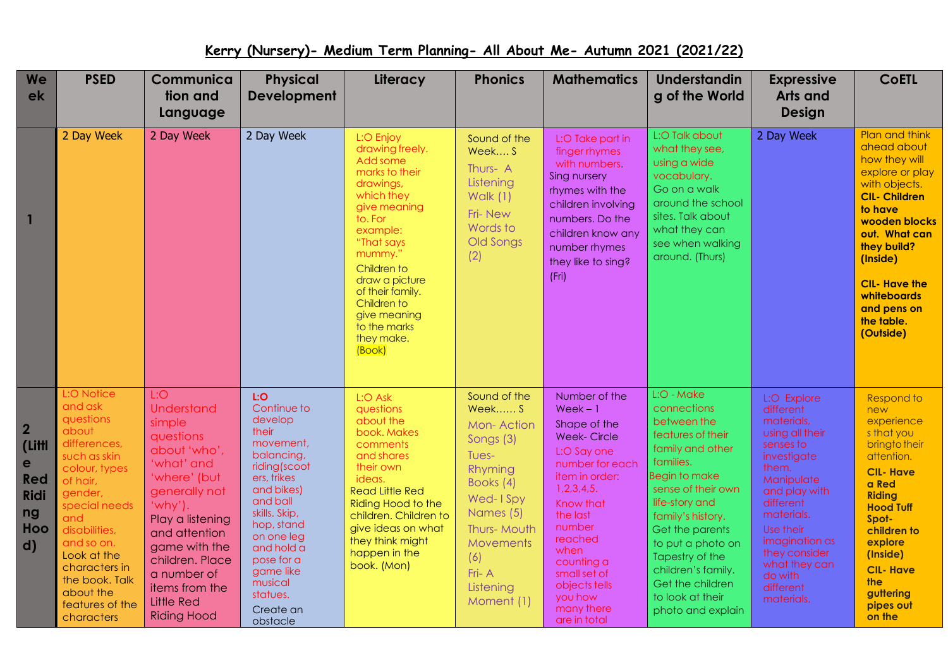## **Kerry (Nursery)- Medium Term Planning- All About Me- Autumn 2021 (2021/22)**

| <b>We</b><br>ek                                                                         | <b>PSED</b>                                                                                                                                                                                                                                                                | Communica<br>tion and<br>Language                                                                                                                                                                                                                                                | <b>Physical</b><br><b>Development</b>                                                                                                                                                                                                                            | Literacy                                                                                                                                                                                                                                                                          | <b>Phonics</b>                                                                                                                                                                        | <b>Mathematics</b>                                                                                                                                                                                                                                                              | <b>Understandin</b><br>g of the World                                                                                                                                                                                                                                                                                      | <b>Expressive</b><br><b>Arts and</b><br><b>Design</b>                                                                                                                                                                                                           | <b>CoETL</b>                                                                                                                                                                                                                                                        |
|-----------------------------------------------------------------------------------------|----------------------------------------------------------------------------------------------------------------------------------------------------------------------------------------------------------------------------------------------------------------------------|----------------------------------------------------------------------------------------------------------------------------------------------------------------------------------------------------------------------------------------------------------------------------------|------------------------------------------------------------------------------------------------------------------------------------------------------------------------------------------------------------------------------------------------------------------|-----------------------------------------------------------------------------------------------------------------------------------------------------------------------------------------------------------------------------------------------------------------------------------|---------------------------------------------------------------------------------------------------------------------------------------------------------------------------------------|---------------------------------------------------------------------------------------------------------------------------------------------------------------------------------------------------------------------------------------------------------------------------------|----------------------------------------------------------------------------------------------------------------------------------------------------------------------------------------------------------------------------------------------------------------------------------------------------------------------------|-----------------------------------------------------------------------------------------------------------------------------------------------------------------------------------------------------------------------------------------------------------------|---------------------------------------------------------------------------------------------------------------------------------------------------------------------------------------------------------------------------------------------------------------------|
| 1                                                                                       | 2 Day Week                                                                                                                                                                                                                                                                 | 2 Day Week                                                                                                                                                                                                                                                                       | 2 Day Week                                                                                                                                                                                                                                                       | L:O Enjoy<br>drawing freely.<br>Add some<br>marks to their<br>drawings,<br>which they<br>give meaning<br>to. For<br>example:<br>"That says<br>mummy."<br>Children to<br>draw a picture<br>of their family.<br>Children to<br>give meaning<br>to the marks<br>they make.<br>(Book) | Sound of the<br>Week S<br>Thurs-A<br>Listening<br>Walk $(1)$<br>Fri-New<br>Words to<br>Old Songs<br>(2)                                                                               | L:O Take part in<br>finger rhymes<br>with numbers.<br>Sing nursery<br>rhymes with the<br>children involving<br>numbers. Do the<br>children know any<br>number rhymes<br>they like to sing?<br>(Fri)                                                                             | L:O Talk about<br>what they see,<br>using a wide<br>vocabulary.<br>Go on a walk<br>around the school<br>sites. Talk about<br>what they can<br>see when walking<br>around. (Thurs)                                                                                                                                          | 2 Day Week                                                                                                                                                                                                                                                      | Plan and think<br>ahead about<br>how they will<br>explore or play<br>with objects.<br><b>CIL- Children</b><br>to have<br>wooden blocks<br>out. What can<br>they build?<br>(Inside)<br><b>CIL- Have the</b><br>whiteboards<br>and pens on<br>the table.<br>(Outside) |
| $\overline{2}$<br>(Littl<br>e<br><b>Red</b><br><b>Ridi</b><br>ng<br>Hoo<br>$\mathbf{d}$ | L:O Notice<br>and ask<br>questions<br>about<br>differences,<br>such as skin<br>colour, types<br>of hair,<br>gender,<br>special needs<br>and<br>disabilities,<br>and so on.<br>Look at the<br>characters in<br>the book. Talk<br>about the<br>features of the<br>characters | L:O<br><b>Understand</b><br>simple<br>questions<br>about 'who',<br>'what' and<br>'where' (but<br>generally not<br>$'why'$ .<br>Play a listening<br>and attention<br>game with the<br>children. Place<br>a number of<br>items from the<br><b>Little Red</b><br><b>Riding Hood</b> | LiO<br>Continue to<br>develop<br>their<br>movement,<br>balancing,<br>riding(scoot<br>ers, trikes<br>and bikes)<br>and ball<br>skills. Skip,<br>hop, stand<br>on one leg<br>and hold a<br>pose for a<br>game like<br>musical<br>statues.<br>Create an<br>obstacle | L:O Ask<br>questions<br>about the<br>book. Makes<br>comments<br>and shares<br>their own<br>ideas.<br><b>Read Little Red</b><br>Riding Hood to the<br>children. Children to<br>give ideas on what<br>they think might<br>happen in the<br>book. (Mon)                              | Sound of the<br>Week S<br>Mon-Action<br>Songs (3)<br>Tues-<br>Rhyming<br>Books (4)<br>Wed-1Spy<br>Names (5)<br>Thurs-Mouth<br>Movements<br>(6)<br>$Fr - A$<br>Listening<br>Moment (1) | Number of the<br>$Week-1$<br>Shape of the<br><b>Week-Circle</b><br>L:O Say one<br>number for each<br>item in order:<br>1,2,3,4,5.<br>Know that<br>the last<br>number<br>reached<br>when<br>counting a<br>small set of<br>objects tells<br>you how<br>many there<br>are in total | L:O - Make<br>connections<br>between the<br>features of their<br>family and other<br>families.<br>Begin to make<br>sense of their own<br>life-story and<br>family's history.<br>Get the parents<br>to put a photo on<br>Tapestry of the<br>children's family.<br>Get the children<br>to look at their<br>photo and explain | L:O Explore<br>different<br>materials,<br>using all their<br>senses to<br>investigate<br>them.<br>Manipulate<br>and play with<br>different<br>materials.<br>Use their<br>imagination as<br>they consider<br>what they can<br>do with<br>different<br>materials. | Respond to<br>new<br>experience<br>s that you<br>bringto their<br>attention.<br><b>CIL-Have</b><br>a Red<br><b>Riding</b><br><b>Hood Tuff</b><br>Spot-<br>children to<br>explore<br>(Inside)<br><b>CIL-Have</b><br><b>the</b><br>guttering<br>pipes out<br>on the   |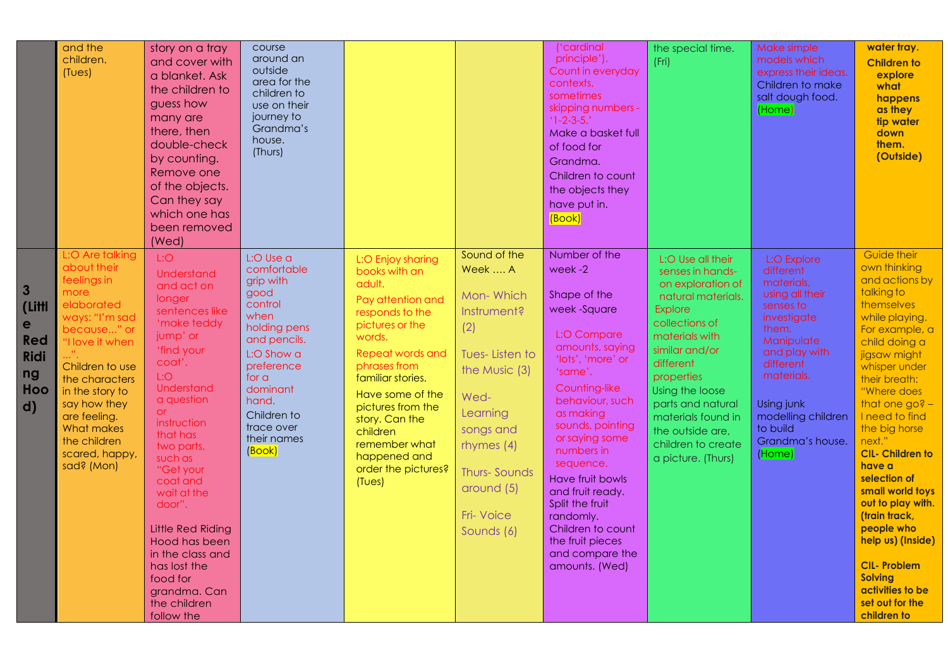|                                                                                                  | and the<br>children.<br>(Tues)                                                                                                                                                                                                                                                | story on a tray<br>and cover with<br>a blanket. Ask<br>the children to<br>guess how<br>many are<br>there, then<br>double-check<br>by counting.<br>Remove one<br>of the objects.<br>Can they say<br>which one has<br>been removed<br>(Wed)                                                                                                                                                                              | course<br>around an<br>outside<br>area for the<br>children to<br>use on their<br>journey to<br>Grandma's<br>house.<br>(Thurs)                                                                                             |                                                                                                                                                                                                                                                                                                                     |                                                                                                                                                                                                                     | ('cardinal<br>principle').<br>Count in everyday<br>contexts,<br>sometimes<br>skipping numbers -<br>$1 - 2 - 3 - 5.$<br>Make a basket full<br>of food for<br>Grandma.<br>Children to count<br>the objects they<br>have put in.<br>(Book)                                                                                                                                                                 | the special time.<br>(Fri)                                                                                                                                                                                                                                                                                        | Make simple<br>models which<br>express their ideas.<br>Children to make<br>salt dough food.<br>(Home)                                                                                                                                  | water tray.<br><b>Children to</b><br>explore<br>what<br>happens<br>as they<br>tip water<br>down<br>them.<br>(Outside)                                                                                                                                                                                                                                                                                                                                                                                            |
|--------------------------------------------------------------------------------------------------|-------------------------------------------------------------------------------------------------------------------------------------------------------------------------------------------------------------------------------------------------------------------------------|------------------------------------------------------------------------------------------------------------------------------------------------------------------------------------------------------------------------------------------------------------------------------------------------------------------------------------------------------------------------------------------------------------------------|---------------------------------------------------------------------------------------------------------------------------------------------------------------------------------------------------------------------------|---------------------------------------------------------------------------------------------------------------------------------------------------------------------------------------------------------------------------------------------------------------------------------------------------------------------|---------------------------------------------------------------------------------------------------------------------------------------------------------------------------------------------------------------------|---------------------------------------------------------------------------------------------------------------------------------------------------------------------------------------------------------------------------------------------------------------------------------------------------------------------------------------------------------------------------------------------------------|-------------------------------------------------------------------------------------------------------------------------------------------------------------------------------------------------------------------------------------------------------------------------------------------------------------------|----------------------------------------------------------------------------------------------------------------------------------------------------------------------------------------------------------------------------------------|------------------------------------------------------------------------------------------------------------------------------------------------------------------------------------------------------------------------------------------------------------------------------------------------------------------------------------------------------------------------------------------------------------------------------------------------------------------------------------------------------------------|
| $\overline{\mathbf{3}}$<br>(Littl<br>e<br><b>Red</b><br><b>Ridi</b><br>ng<br>Hoo<br>$\mathbf{d}$ | L:O Are talking<br>about their<br>feelings in<br>more<br>elaborated<br>ways: "I'm sad<br>because" or<br>'I love it when<br>Children to use<br>the characters<br>in the story to<br>say how they<br>are feeling.<br>What makes<br>the children<br>scared, happy,<br>sad? (Mon) | L:O<br><b>Understand</b><br>and act on<br>longer<br>sentences like<br>'make teddy<br>jump' or<br>'find your<br>coat'.<br>L:O<br>Understand<br>a question<br><b>or</b><br>instruction<br>that has<br>two parts,<br>such as<br>"Get your<br>coat and<br>wait at the<br>door".<br><b>Little Red Riding</b><br>Hood has been<br>in the class and<br>has lost the<br>food for<br>grandma. Can<br>the children<br>follow the | L:O Use a<br>comfortable<br>grip with<br>good<br>control<br>when<br>holding pens<br>and pencils.<br>L:O Show a<br>preference<br>for a<br>dominant<br>hand.<br>Children to<br>trace over<br>their names<br>( <b>Book</b> ) | L:O Enjoy sharing<br>books with an<br>adult.<br>Pay attention and<br>responds to the<br>pictures or the<br>words.<br>Repeat words and<br>phrases from<br>familiar stories.<br>Have some of the<br>pictures from the<br>story. Can the<br>children<br>remember what<br>happened and<br>order the pictures?<br>(Tues) | Sound of the<br>Week  A<br>Mon-Which<br>Instrument?<br>(2)<br><b>Tues-Listen to</b><br>the Music (3)<br>Wed-<br>Learning<br>songs and<br>rhymes (4)<br><b>Thurs-Sounds</b><br>around (5)<br>Fri-Voice<br>Sounds (6) | Number of the<br>week-2<br>Shape of the<br>week-Square<br>L:O Compare<br>amounts, saying<br>'lots', 'more' or<br>'same'.<br>Counting-like<br>behaviour, such<br>as making<br>sounds, pointing<br>or saying some<br>numbers in<br>sequence.<br><b>Have fruit bowls</b><br>and fruit ready.<br>Split the fruit<br>randomly.<br>Children to count<br>the fruit pieces<br>and compare the<br>amounts. (Wed) | L:O Use all their<br>senses in hands-<br>on exploration of<br>natural materials.<br><b>Explore</b><br>collections of<br>materials with<br>similar and/or<br>different<br>properties<br>Using the loose<br>parts and natural<br>materials found in<br>the outside are,<br>children to create<br>a picture. (Thurs) | L:O Explore<br>different<br>materials,<br>using all their<br>senses to<br>investigate<br>them.<br>Manipulate<br>and play with<br>different<br>materials.<br>Using junk<br>modelling children<br>to build<br>Grandma's house.<br>(Home) | Guide their<br>own thinking<br>and actions by<br>talking to<br>themselves<br>while playing.<br>For example, a<br>child doing a<br>jigsaw might<br>whisper under<br>their breath:<br>"Where does<br>that one $go? -$<br>I need to find<br>the big horse<br>next."<br><b>CIL- Children to</b><br>have a<br>selection of<br>small world toys<br>out to play with.<br>(train track,<br>people who<br>help us) (Inside)<br><b>CIL-Problem</b><br><b>Solving</b><br>activities to be<br>set out for the<br>children to |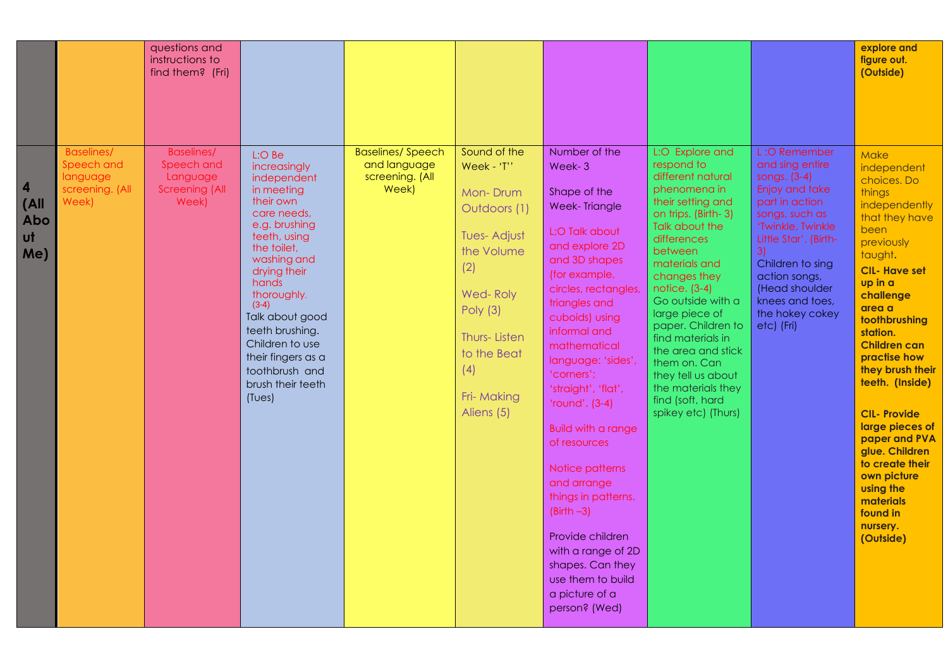|                                                     |                                                                         | questions and<br>instructions to<br>find them? (Fri)                          |                                                                                                                                                                                                                                                                                                                                   |                                                                     |                                                                                                                                                                                              |                                                                                                                                                                                                                                                                                                                                                                                                                                                                                                                                                             |                                                                                                                                                                                                                                                                                                                                                                                                                             |                                                                                                                                                                                                                                                                      | explore and<br>figure out.<br>(Outside)                                                                                                                                                                                                                                                                                                                                                                                                                            |
|-----------------------------------------------------|-------------------------------------------------------------------------|-------------------------------------------------------------------------------|-----------------------------------------------------------------------------------------------------------------------------------------------------------------------------------------------------------------------------------------------------------------------------------------------------------------------------------|---------------------------------------------------------------------|----------------------------------------------------------------------------------------------------------------------------------------------------------------------------------------------|-------------------------------------------------------------------------------------------------------------------------------------------------------------------------------------------------------------------------------------------------------------------------------------------------------------------------------------------------------------------------------------------------------------------------------------------------------------------------------------------------------------------------------------------------------------|-----------------------------------------------------------------------------------------------------------------------------------------------------------------------------------------------------------------------------------------------------------------------------------------------------------------------------------------------------------------------------------------------------------------------------|----------------------------------------------------------------------------------------------------------------------------------------------------------------------------------------------------------------------------------------------------------------------|--------------------------------------------------------------------------------------------------------------------------------------------------------------------------------------------------------------------------------------------------------------------------------------------------------------------------------------------------------------------------------------------------------------------------------------------------------------------|
| $\vert$ 4<br>$ $ (All<br>Abo<br>$\mathsf{u}$<br>Me) | <b>Baselines/</b><br>Speech and<br>language<br>screening. (All<br>Week) | <b>Baselines/</b><br>Speech and<br>Language<br><b>Screening (All</b><br>Week) | L:O Be<br>increasingly<br>independent<br>in meeting<br>their own<br>care needs,<br>e.g. brushing<br>teeth, using<br>the toilet,<br>washing and<br>drying their<br>hands<br>thoroughly.<br>$(3-4)$<br>Talk about good<br>teeth brushing.<br>Children to use<br>their fingers as a<br>toothbrush and<br>brush their teeth<br>(Tues) | <b>Baselines/Speech</b><br>and language<br>screening. (All<br>Week) | Sound of the<br>Week - 'T''<br>Mon-Drum<br>Outdoors (1)<br><b>Tues-Adjust</b><br>the Volume<br>(2)<br>Wed-Roly<br>Poly (3)<br>Thurs-Listen<br>to the Beat<br>(4)<br>Fri-Making<br>Aliens (5) | Number of the<br>Week-3<br>Shape of the<br><b>Week-Triangle</b><br>L;O Talk about<br>and explore 2D<br>and 3D shapes<br>(for example,<br>circles, rectangles,<br>triangles and<br>cuboids) using<br>informal and<br>mathematical<br>language: 'sides',<br>'corners';<br>'straight', 'flat',<br>'round'. $(3-4)$<br><b>Build with a range</b><br>of resources<br>Notice patterns<br>and arrange<br>things in patterns.<br>$(Birth -3)$<br>Provide children<br>with a range of 2D<br>shapes. Can they<br>use them to build<br>a picture of a<br>person? (Wed) | L:O Explore and<br>respond to<br>different natural<br>phenomena in<br>their setting and<br>on trips. (Birth-3)<br>Talk about the<br>differences<br>between<br>materials and<br>changes they<br>notice. (3-4)<br>Go outside with a<br>large piece of<br>paper. Children to<br>find materials in<br>the area and stick<br>them on. Can<br>they tell us about<br>the materials they<br>find (soft, hard<br>spikey etc) (Thurs) | L:O Remember<br>and sing entire<br>songs. (3-4)<br>Enjoy and take<br>part in action<br>songs, such as<br>'Twinkle, Twinkle<br>Little Star'. (Birth-<br>3)<br>Children to sing<br>action songs,<br>(Head shoulder<br>knees and toes,<br>the hokey cokey<br>etc) (Fri) | Make<br>independent<br>choices. Do<br>things<br>independently<br>that they have<br>been<br>previously<br>taught.<br><b>CIL- Have set</b><br>up in a<br>challenge<br>area a<br>toothbrushing<br>station.<br><b>Children can</b><br>practise how<br>they brush their<br>teeth. (Inside)<br><b>CIL-Provide</b><br>large pieces of<br>paper and PVA<br>glue. Children<br>to create their<br>own picture<br>using the<br>materials<br>found in<br>nursery.<br>(Outside) |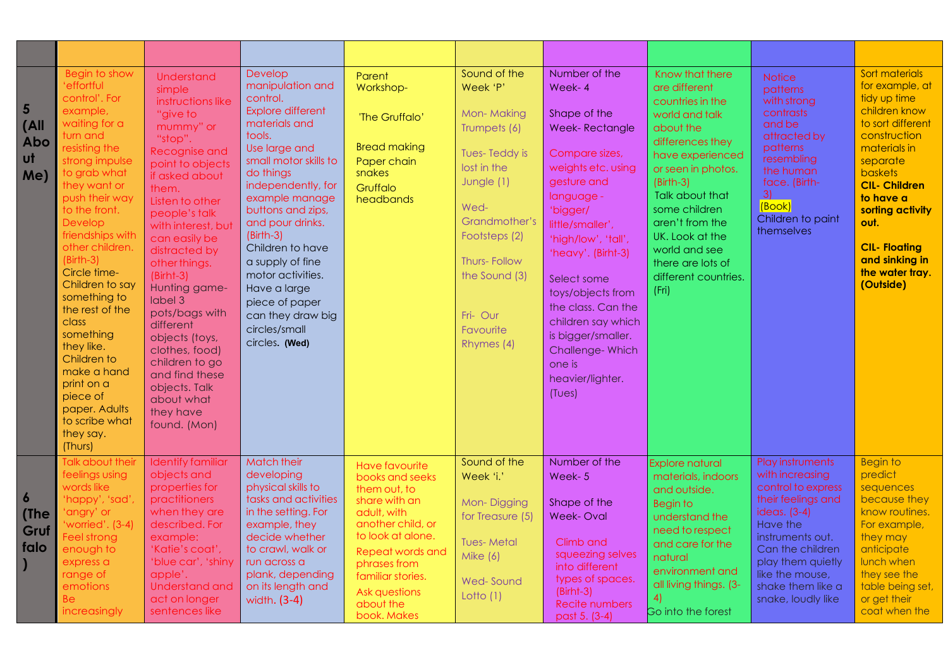| 5<br>(A)<br><b>Abo</b><br>ut<br>Me)      | Begin to show<br>'effortful<br>control'. For<br>example,<br>waiting for a<br>turn and<br>resisting the<br>strong impulse<br>to grab what<br>they want or<br>push their way<br>to the front.<br>Develop<br>friendships with<br>other children.<br>$(Birth-3)$<br>Circle time-<br>Children to say<br>something to<br>the rest of the<br>class<br>something<br>they like.<br>Children to<br>make a hand<br>print on a<br>piece of<br>paper. Adults<br>to scribe what<br>they say.<br>(Thurs) | Understand<br>simple<br>instructions like<br>"give to<br>mummy" or<br>"stop".<br>Recognise and<br>point to objects<br>if asked about<br>them.<br>Listen to other<br>people's talk<br>with interest, but<br>can easily be<br>distracted by<br>other things.<br>$(Birth-3)$<br>Hunting game-<br>label 3<br>pots/bags with<br>different<br>objects (toys,<br>clothes, food)<br>children to go<br>and find these<br>objects. Talk<br>about what<br>they have<br>found. (Mon) | Develop<br>manipulation and<br>control.<br><b>Explore different</b><br>materials and<br>tools.<br>Use large and<br>small motor skills to<br>do things<br>independently, for<br>example manage<br>buttons and zips,<br>and pour drinks.<br>$(Birth-3)$<br>Children to have<br>a supply of fine<br>motor activities.<br>Have a large<br>piece of paper<br>can they draw big<br>circles/small<br>circles. (Wed) | Parent<br>Workshop-<br>'The Gruffalo'<br><b>Bread making</b><br>Paper chain<br>snakes<br>Gruffalo<br>headbands                                                                                                                    | Sound of the<br>Week 'P'<br>Mon-Making<br>Trumpets (6)<br>Tues-Teddy is<br>lost in the<br>Jungle (1)<br>Wed-<br>Grandmother's<br>Footsteps (2)<br><b>Thurs-Follow</b><br>the Sound (3)<br>Fri-Our<br>Favourite<br>Rhymes (4) | Number of the<br>Week-4<br>Shape of the<br><b>Week-Rectangle</b><br>Compare sizes,<br>weights etc. using<br>gesture and<br>language -<br>'bigger/<br>little/smaller',<br>'high/low', 'tall',<br>'heavy'. (Birht-3)<br>Select some<br>toys/objects from<br>the class. Can the<br>children say which<br>is bigger/smaller.<br>Challenge-Which<br>one is<br>heavier/lighter.<br>(Tues) | Know that there<br>are different<br>countries in the<br>world and talk<br>about the<br>differences they<br>have experienced<br>or seen in photos.<br>$(Birth-3)$<br>Talk about that<br>some children<br>aren't from the<br>UK. Look at the<br>world and see<br>there are lots of<br>different countries.<br>(Fri) | <b>Notice</b><br>patterns<br>with strong<br>contrasts<br>and be<br>attracted by<br>patterns<br>resembling<br>the human<br>face. (Birth-<br>3)<br>[Book]<br>Children to paint<br>themselves                                             | Sort materials<br>for example, at<br>tidy up time<br>children know<br>to sort different<br>construction<br>materials in<br>separate<br><b>baskets</b><br><b>CIL- Children</b><br>to have a<br>sorting activity<br>out.<br><b>CIL- Floating</b><br>and sinking in<br>the water tray.<br>(Outside) |
|------------------------------------------|-------------------------------------------------------------------------------------------------------------------------------------------------------------------------------------------------------------------------------------------------------------------------------------------------------------------------------------------------------------------------------------------------------------------------------------------------------------------------------------------|--------------------------------------------------------------------------------------------------------------------------------------------------------------------------------------------------------------------------------------------------------------------------------------------------------------------------------------------------------------------------------------------------------------------------------------------------------------------------|--------------------------------------------------------------------------------------------------------------------------------------------------------------------------------------------------------------------------------------------------------------------------------------------------------------------------------------------------------------------------------------------------------------|-----------------------------------------------------------------------------------------------------------------------------------------------------------------------------------------------------------------------------------|------------------------------------------------------------------------------------------------------------------------------------------------------------------------------------------------------------------------------|-------------------------------------------------------------------------------------------------------------------------------------------------------------------------------------------------------------------------------------------------------------------------------------------------------------------------------------------------------------------------------------|-------------------------------------------------------------------------------------------------------------------------------------------------------------------------------------------------------------------------------------------------------------------------------------------------------------------|----------------------------------------------------------------------------------------------------------------------------------------------------------------------------------------------------------------------------------------|--------------------------------------------------------------------------------------------------------------------------------------------------------------------------------------------------------------------------------------------------------------------------------------------------|
| $\boldsymbol{6}$<br>(The<br>Gruf<br>falo | Talk about their<br>feelings using<br>words like<br>'happy', 'sad'<br>'angry' or<br>'worried'. (3-4)<br>Feel strong<br>enough to<br>express a<br>range of<br>emotions<br><b>Be</b><br>increasingly                                                                                                                                                                                                                                                                                        | <b>Identify familiar</b><br>objects and<br>properties for<br>practitioners<br>when they are<br>described. For<br>example:<br>'Katie's coat',<br>'blue car', 'shiny<br>apple'.<br><b>Understand and</b><br>act on longer<br>sentences like                                                                                                                                                                                                                                | <b>Match their</b><br>developing<br>physical skills to<br>tasks and activities<br>in the setting. For<br>example, they<br>decide whether<br>to crawl, walk or<br>run across a<br>plank, depending<br>on its length and<br>width. (3-4)                                                                                                                                                                       | Have favourite<br>books and seeks<br>them out, to<br>share with an<br>adult, with<br>another child, or<br>to look at alone.<br>Repeat words and<br>phrases from<br>familiar stories.<br>Ask questions<br>about the<br>book. Makes | Sound of the<br>Week 'i.'<br>Mon-Digging<br>for Treasure (5)<br><b>Tues-Metal</b><br><b>Mike (6)</b><br>Wed-Sound<br>Lotto (1)                                                                                               | Number of the<br>Week-5<br>Shape of the<br><b>Week-Oval</b><br>Climb and<br>squeezing selves<br>into different<br>types of spaces.<br>$(Birth-3)$<br>Recite numbers<br>past 5. (3-4)                                                                                                                                                                                                | <b>Explore natural</b><br>materials, indoors<br>and outside.<br><b>Begin to</b><br>understand the<br>need to respect<br>and care for the<br>natural<br>environment and<br>all living things. (3-<br>4)<br>Go into the forest                                                                                      | Play instruments<br>with increasing<br>control to express<br>their feelings and<br>ideas. (3-4)<br>Have the<br>instruments out.<br>Can the children<br>play them quietly<br>like the mouse,<br>shake them like a<br>snake, loudly like | <b>Begin to</b><br>predict<br>sequences<br>because they<br>know routines.<br>For example,<br>they may<br>anticipate<br>lunch when<br>they see the<br>table being set,<br>or get their<br>coat when the                                                                                           |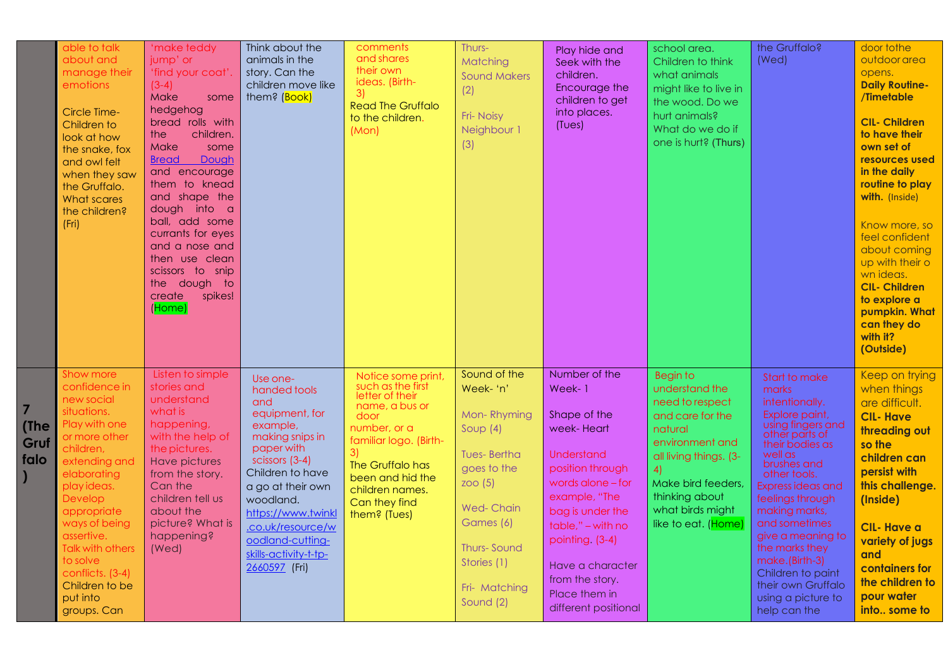|                           | able to talk<br>about and<br>manage their<br>emotions<br>Circle Time-<br>Children to<br>look at how<br>the snake, fox<br>and owl felt<br>when they saw<br>the Gruffalo.<br>What scares<br>the children?<br>(Fri)                                                                                                              | 'make teddy<br>jump' or<br>'find your coat'.<br>$(3-4)$<br>Make<br>some<br>hedgehog<br>bread rolls with<br>children.<br>the<br>Make<br>some<br>Dough<br><b>Bread</b><br>and encourage<br>them to knead<br>and shape the<br>dough into a<br>ball, add some<br>currants for eyes<br>and a nose and<br>then use clean<br>scissors to snip<br>the dough to<br>create<br>spikes!<br>(Home) | Think about the<br>animals in the<br>story. Can the<br>children move like<br>them? (Book)                                                                                                                                                                                       | comments<br>and shares<br>their own<br>ideas. (Birth-<br>3)<br><b>Read The Gruffalo</b><br>to the children.<br>(Mon)                                                                                                       | Thurs-<br>Matching<br><b>Sound Makers</b><br>(2)<br>Fri-Noisy<br>Neighbour 1<br>(3)                                                                                                                | Play hide and<br>Seek with the<br>children.<br>Encourage the<br>children to get<br>into places.<br>(Tues)                                                                                                                                                                        | school area.<br>Children to think<br>what animals<br>might like to live in<br>the wood. Do we<br>hurt animals?<br>What do we do if<br>one is hurt? (Thurs)                                                                | the Gruffalo?<br>(Wed)                                                                                                                                                                                                                                                                                                                                                                     | door to the<br>outdoor area<br>opens.<br><b>Daily Routine-</b><br>/Timetable<br><b>CIL- Children</b><br>to have their<br>own set of<br>resources used<br>in the daily<br>routine to play<br>with. (Inside)<br>Know more, so<br>feel confident<br>about coming<br>up with their o<br>wn ideas.<br><b>CIL- Children</b><br>to explore a<br>pumpkin. What<br>can they do<br>with it?<br>(Outside) |
|---------------------------|-------------------------------------------------------------------------------------------------------------------------------------------------------------------------------------------------------------------------------------------------------------------------------------------------------------------------------|---------------------------------------------------------------------------------------------------------------------------------------------------------------------------------------------------------------------------------------------------------------------------------------------------------------------------------------------------------------------------------------|---------------------------------------------------------------------------------------------------------------------------------------------------------------------------------------------------------------------------------------------------------------------------------|----------------------------------------------------------------------------------------------------------------------------------------------------------------------------------------------------------------------------|----------------------------------------------------------------------------------------------------------------------------------------------------------------------------------------------------|----------------------------------------------------------------------------------------------------------------------------------------------------------------------------------------------------------------------------------------------------------------------------------|---------------------------------------------------------------------------------------------------------------------------------------------------------------------------------------------------------------------------|--------------------------------------------------------------------------------------------------------------------------------------------------------------------------------------------------------------------------------------------------------------------------------------------------------------------------------------------------------------------------------------------|------------------------------------------------------------------------------------------------------------------------------------------------------------------------------------------------------------------------------------------------------------------------------------------------------------------------------------------------------------------------------------------------|
| 7<br>(The<br>Gruf<br>falo | <b>Show more</b><br>confidence in<br>new social<br>situations.<br>Play with one<br>or more other<br>children,<br>extending and<br>elaborating<br>play ideas.<br>Develop<br>appropriate<br>ways of being<br>assertive.<br><b>Talk with others</b><br>to solve<br>conflicts. (3-4)<br>Children to be<br>put into<br>groups. Can | Listen to simple<br>stories and<br>understand<br>what is<br>happening,<br>with the help of<br>the pictures.<br><b>Have pictures</b><br>from the story.<br>Can the<br>children tell us<br>about the<br>picture? What is<br>happening?<br>(Wed)                                                                                                                                         | Use one-<br>handed tools<br>and<br>equipment, for<br>example.<br>making snips in<br>paper with<br>scissors (3-4)<br>Children to have<br>a go at their own<br>woodland.<br>https://www.twinkl<br>.co.uk/resource/w<br>oodland-cutting-<br>skills-activity-t-tp-<br>2660597 (Fri) | Notice some print,<br>such as the first<br>letter of their<br>name, a bus or<br>door<br>number, or a<br>familiar logo. (Birth-<br>The Gruffalo has<br>been and hid the<br>children names.<br>Can they find<br>them? (Tues) | Sound of the<br>Week- 'n'<br>Mon-Rhyming<br>Soup $(4)$<br><b>Tues-Bertha</b><br>goes to the<br>200(5)<br><b>Wed-Chain</b><br>Games (6)<br>Thurs-Sound<br>Stories (1)<br>Fri- Matching<br>Sound (2) | Number of the<br>Week-1<br>Shape of the<br>week-Heart<br><b>Understand</b><br>position through<br>words alone - for<br>example, "The<br>bag is under the<br>table," - with no<br>pointing. (3-4)<br>Have a character<br>from the story.<br>Place them in<br>different positional | <b>Begin to</b><br>understand the<br>need to respect<br>and care for the<br>natural<br>environment and<br>all living things. (3-<br>4)<br>Make bird feeders,<br>thinking about<br>what birds might<br>like to eat. (Home) | <b>Start to make</b><br>marks<br>intentionally.<br>Explore paint,<br>using fingers and<br>other parts of<br>their bodies as<br>well as<br>brushes and<br>other tools.<br>Express ideas and<br>feelings through<br>making marks,<br>and sometimes<br>give a meaning to<br>the marks they<br>make.(Birth-3)<br>Children to paint<br>their own Gruffalo<br>using a picture to<br>help can the | Keep on trying<br>when things<br>are difficult.<br><b>CIL-Have</b><br>threading out<br>so the<br>children can<br>persist with<br>this challenge.<br>(Inside)<br><b>CIL-Have a</b><br>variety of jugs<br>and<br>containers for<br>the children to<br>pour water<br>into some to                                                                                                                 |

**7**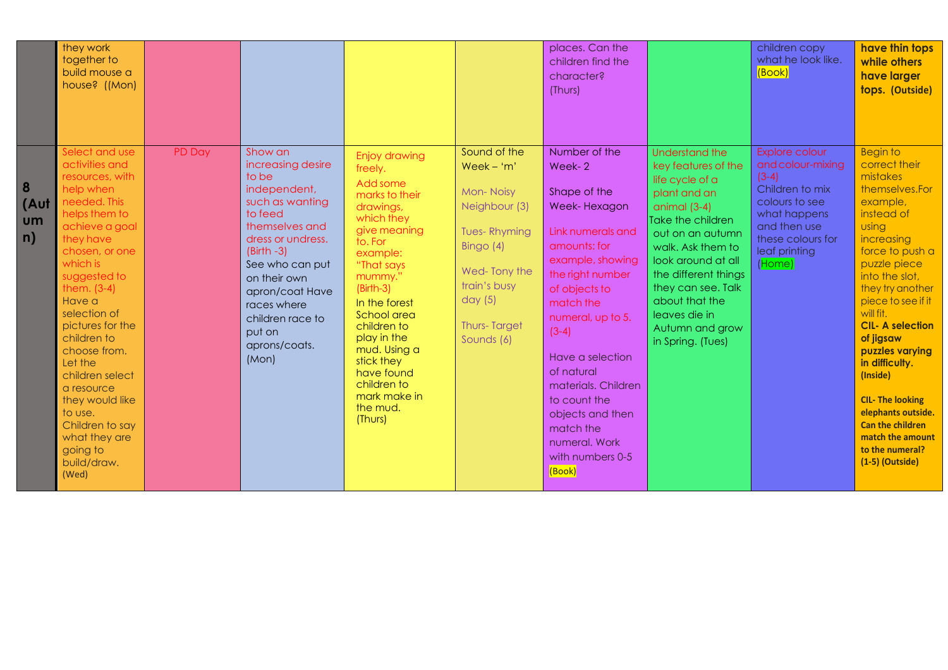|                              | they work<br>together to<br>build mouse a<br>house? ((Mon)                                                                                                                                                                                                                                                                                                                                                                     |        |                                                                                                                                                                                                                                                                         |                                                                                                                                                                                                                                                                                                                                  |                                                                                                                                                                                           | places. Can the<br>children find the<br>character?<br>(Thurs)                                                                                                                                                                                                                                                                                               |                                                                                                                                                                                                                                                                                                         | children copy<br>what he look like.<br>(Book)                                                                                                                       | have thin tops<br>while others<br>have larger<br>tops. (Outside)                                                                                                                                                                                                                                                                                                                                                                                            |
|------------------------------|--------------------------------------------------------------------------------------------------------------------------------------------------------------------------------------------------------------------------------------------------------------------------------------------------------------------------------------------------------------------------------------------------------------------------------|--------|-------------------------------------------------------------------------------------------------------------------------------------------------------------------------------------------------------------------------------------------------------------------------|----------------------------------------------------------------------------------------------------------------------------------------------------------------------------------------------------------------------------------------------------------------------------------------------------------------------------------|-------------------------------------------------------------------------------------------------------------------------------------------------------------------------------------------|-------------------------------------------------------------------------------------------------------------------------------------------------------------------------------------------------------------------------------------------------------------------------------------------------------------------------------------------------------------|---------------------------------------------------------------------------------------------------------------------------------------------------------------------------------------------------------------------------------------------------------------------------------------------------------|---------------------------------------------------------------------------------------------------------------------------------------------------------------------|-------------------------------------------------------------------------------------------------------------------------------------------------------------------------------------------------------------------------------------------------------------------------------------------------------------------------------------------------------------------------------------------------------------------------------------------------------------|
| 8<br>(Aut<br><b>um</b><br>n) | Select and use<br>activities and<br>resources, with<br>help when<br>needed. This<br>helps them to<br>achieve a goal<br>they have<br>chosen, or one<br>which is<br>suggested to<br>them. $(3-4)$<br>Have a<br>selection of<br>pictures for the<br>children to<br>choose from.<br>Let the<br>children select<br>a resource<br>they would like<br>to use.<br>Children to say<br>what they are<br>going to<br>build/draw.<br>(Wed) | PD Day | Show an<br>increasing desire<br>to be<br>independent,<br>such as wanting<br>to feed<br>themselves and<br>dress or undress.<br>$(Birth -3)$<br>See who can put<br>on their own<br>apron/coat Have<br>races where<br>children race to<br>put on<br>aprons/coats.<br>(Mon) | Enjoy drawing<br>freely.<br>Add some<br>marks to their<br>drawings,<br>which they<br>give meaning<br>to. For<br>example:<br>"That says<br>mummy."<br>$(Birth-3)$<br>In the forest<br>School area<br>children to<br>play in the<br>mud. Using a<br>stick they<br>have found<br>children to<br>mark make in<br>the mud.<br>(Thurs) | Sound of the<br>$Week - 'm'$<br><b>Mon-Noisy</b><br>Neighbour (3)<br><b>Tues-Rhyming</b><br>Bingo $(4)$<br>Wed-Tony the<br>train's busy<br>day $(5)$<br><b>Thurs-Target</b><br>Sounds (6) | Number of the<br>Week-2<br>Shape of the<br>Week-Hexagon<br>Link numerals and<br>amounts: for<br>example, showing<br>the right number<br>of objects to<br>match the<br>numeral, up to 5.<br>$(3-4)$<br>Have a selection<br>of natural<br>materials. Children<br>to count the<br>objects and then<br>match the<br>numeral. Work<br>with numbers 0-5<br>(Book) | Understand the<br>key features of the<br>life cycle of a<br>plant and an<br>animal $(3-4)$<br>Take the children<br>out on an autumn<br>walk. Ask them to<br>look around at all<br>the different things<br>they can see. Talk<br>about that the<br>leaves die in<br>Autumn and grow<br>in Spring. (Tues) | Explore colour<br>and colour-mixing<br>$(3-4)$<br>Children to mix<br>colours to see<br>what happens<br>and then use<br>these colours for<br>leaf printing<br>(Home) | <b>Begin to</b><br>correct their<br>mistakes<br>themselves.For<br>example,<br>instead of<br>using<br>increasing<br>force to push a<br>puzzle piece<br>into the slot,<br>they try another<br>piece to see if it<br>will fit.<br><b>CIL-A selection</b><br>of jigsaw<br>puzzles varying<br>in difficulty.<br>(Inside)<br><b>CIL- The looking</b><br>elephants outside.<br><b>Can the children</b><br>match the amount<br>to the numeral?<br>$(1-5)$ (Outside) |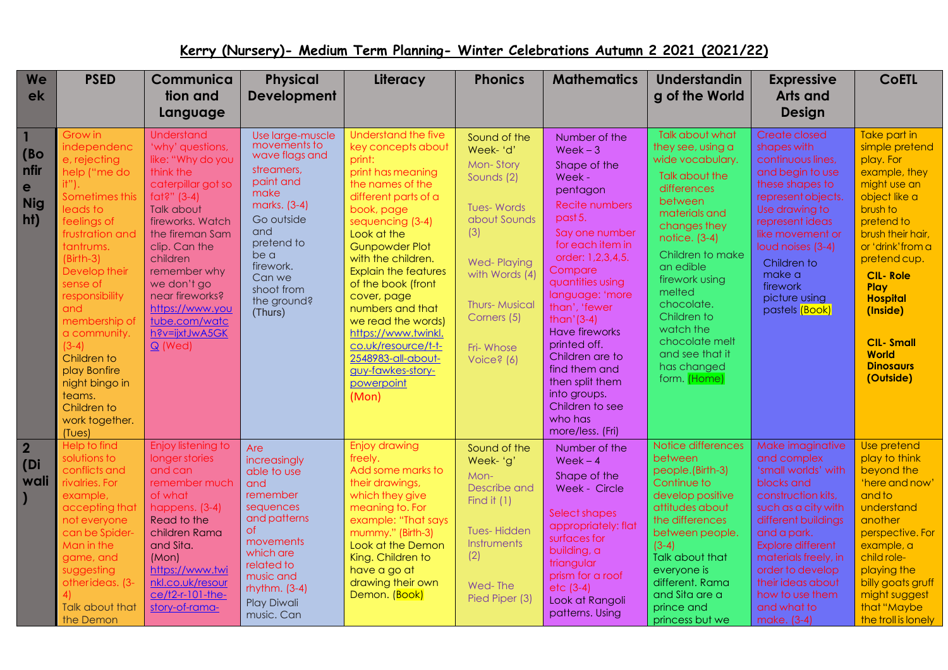## **Kerry (Nursery)- Medium Term Planning- Winter Celebrations Autumn 2 2021 (2021/22)**

| We                                     | <b>PSED</b>                                                                                                                                                                                                                                                                                                                                                         | Communica                                                                                                                                                                                                                                                                                                             | <b>Physical</b>                                                                                                                                                                                                 | Literacy                                                                                                                                                                                                                                                                                                                                                                                                                                                  | <b>Phonics</b>                                                                                                                                                                                            | <b>Mathematics</b>                                                                                                                                                                                                                                                                                                                                                                                                    | Understandin                                                                                                                                                                                                                                                                                                                             | <b>Expressive</b>                                                                                                                                                                                                                                                                              | <b>CoETL</b>                                                                                                                                                                                                                                                                                                     |
|----------------------------------------|---------------------------------------------------------------------------------------------------------------------------------------------------------------------------------------------------------------------------------------------------------------------------------------------------------------------------------------------------------------------|-----------------------------------------------------------------------------------------------------------------------------------------------------------------------------------------------------------------------------------------------------------------------------------------------------------------------|-----------------------------------------------------------------------------------------------------------------------------------------------------------------------------------------------------------------|-----------------------------------------------------------------------------------------------------------------------------------------------------------------------------------------------------------------------------------------------------------------------------------------------------------------------------------------------------------------------------------------------------------------------------------------------------------|-----------------------------------------------------------------------------------------------------------------------------------------------------------------------------------------------------------|-----------------------------------------------------------------------------------------------------------------------------------------------------------------------------------------------------------------------------------------------------------------------------------------------------------------------------------------------------------------------------------------------------------------------|------------------------------------------------------------------------------------------------------------------------------------------------------------------------------------------------------------------------------------------------------------------------------------------------------------------------------------------|------------------------------------------------------------------------------------------------------------------------------------------------------------------------------------------------------------------------------------------------------------------------------------------------|------------------------------------------------------------------------------------------------------------------------------------------------------------------------------------------------------------------------------------------------------------------------------------------------------------------|
| ek                                     |                                                                                                                                                                                                                                                                                                                                                                     | tion and<br>Language                                                                                                                                                                                                                                                                                                  | <b>Development</b>                                                                                                                                                                                              |                                                                                                                                                                                                                                                                                                                                                                                                                                                           |                                                                                                                                                                                                           |                                                                                                                                                                                                                                                                                                                                                                                                                       | g of the World                                                                                                                                                                                                                                                                                                                           | Arts and<br><b>Design</b>                                                                                                                                                                                                                                                                      |                                                                                                                                                                                                                                                                                                                  |
| (Bo)<br>nfir<br>e<br><b>Nig</b><br>ht) | Grow in<br>independenc<br>e, rejecting<br>help ("me do<br>it").<br>Sometimes this<br>leads to<br>feelings of<br>frustration and<br>tantrums.<br>$(Birth-3)$<br>Develop their<br>sense of<br>responsibility<br>and<br>membership of<br>a community.<br>$(3-4)$<br>Children to<br>play Bonfire<br>night bingo in<br>teams.<br>Children to<br>work together.<br>(Tues) | <b>Understand</b><br>'why' questions,<br>like: "Why do you<br>think the<br>caterpillar got so<br>fat?" $(3-4)$<br>Talk about<br>fireworks. Watch<br>the fireman Sam<br>clip. Can the<br>children<br>remember why<br>we don't go<br>near fireworks?<br>https://www.you<br>tube.com/watc<br>h?v=ijxtJwA5GK<br>$Q$ (Wed) | Use large-muscle<br>movements to<br>wave flags and<br>streamers.<br>paint and<br>make<br>marks. (3-4)<br>Go outside<br>and<br>pretend to<br>be a<br>firework.<br>Can we<br>shoot from<br>the ground?<br>(Thurs) | <b>Understand the five</b><br>key concepts about<br>print:<br>print has meaning<br>the names of the<br>different parts of a<br>book, page<br>sequencing (3-4)<br>Look at the<br><b>Gunpowder Plot</b><br>with the children.<br><b>Explain the features</b><br>of the book (front<br>cover, page<br>numbers and that<br>we read the words)<br>https://www.twinkl.<br>co.uk/resource/t-t-<br>2548983-all-about-<br>guy-fawkes-story-<br>powerpoint<br>(Mon) | Sound of the<br>Week-'d'<br>Mon-Story<br>Sounds (2)<br><b>Tues-Words</b><br>about Sounds<br>(3)<br><b>Wed-Playing</b><br>with Words (4)<br><b>Thurs-Musical</b><br>Corners (5)<br>Fri-Whose<br>Voice? (6) | Number of the<br>$Week-3$<br>Shape of the<br>Week -<br>pentagon<br><b>Recite numbers</b><br>past 5.<br>Say one number<br>for each item in<br>order: 1,2,3,4,5.<br>Compare<br>quantities using<br>language: 'more<br>than', 'fewer<br>$than ' (3-4)$<br><b>Have fireworks</b><br>printed off.<br>Children are to<br>find them and<br>then split them<br>into groups.<br>Children to see<br>who has<br>more/less. (Fri) | <b>Talk about what</b><br>they see, using a<br>wide vocabulary.<br>Talk about the<br>differences<br>between<br>materials and<br>changes they<br>notice. (3-4)<br>Children to make<br>an edible<br>firework using<br>melted<br>chocolate.<br>Children to<br>watch the<br>chocolate melt<br>and see that it<br>has changed<br>form. (Home) | Create closed<br>shapes with<br>continuous lines,<br>and begin to use<br>these shapes to<br>represent objects.<br>Use drawing to<br>represent ideas<br>like movement or<br>loud noises (3-4)<br>Children to<br>make a<br>firework<br>picture using<br>pastels (Book)                           | Take part in<br>simple pretend<br>play. For<br>example, they<br>might use an<br>object like a<br>brush to<br>pretend to<br>brush their hair,<br>or 'drink' from a<br>pretend cup.<br><b>CIL-Role</b><br>Play<br><b>Hospital</b><br>(Inside)<br><b>CIL-Small</b><br><b>World</b><br><b>Dinosaurs</b><br>(Outside) |
| $\overline{2}$<br>(Di<br>wali          | Help to find<br>solutions to<br>conflicts and<br>rivalries. For<br>example,<br>accepting that<br>not everyone<br>can be Spider-<br>Man in the<br>game, and<br>suggesting<br>otherideas. (3-<br>Talk about that<br>the Demon                                                                                                                                         | Enjoy listening to<br>longer stories<br>and can<br>remember much<br>of what<br>happens. (3-4)<br>Read to the<br>children Rama<br>and Sita.<br>(Mon)<br>https://www.twi<br>nkl.co.uk/resour<br>ce/t2-r-101-the-<br>story-of-rama-                                                                                      | Are<br>increasingly<br>able to use<br>and<br>remember<br>sequences<br>and patterns<br>of.<br>movements<br>which are<br>related to<br>music and<br>rhythm. $(3-4)$<br>Play Diwali<br>music. Can                  | <b>Enjoy drawing</b><br>freely.<br>Add some marks to<br>their drawings,<br>which they give<br>meaning to. For<br>example: "That says<br>mummy." (Birth-3)<br>Look at the Demon<br>King. Children to<br>have a go at<br>drawing their own<br>Demon. (Book)                                                                                                                                                                                                 | Sound of the<br>Week- 'g'<br>Mon-<br>Describe and<br>Find it $(1)$<br><b>Tues-Hidden</b><br>Instruments<br>(2)<br>Wed-The<br>Pied Piper (3)                                                               | Number of the<br>$Week - 4$<br>Shape of the<br>Week - Circle<br>Select shapes<br>appropriately: flat<br>surfaces for<br>building, a<br>triangular<br>prism for a roof<br>$etc$ (3-4)<br>Look at Rangoli<br>patterns. Using                                                                                                                                                                                            | Notice differences<br>between<br>people.(Birth-3)<br>Continue to<br>develop positive<br>attitudes about<br>the differences<br>between people.<br>$(3-4)$<br>Talk about that<br>everyone is<br>different. Rama<br>and Sita are a<br>prince and<br>princess but we                                                                         | Make imaginative<br>and complex<br>'small worlds' with<br>blocks and<br>construction kits,<br>such as a city with<br>different buildings<br>and a park.<br>Explore different<br>materials freely, in<br>order to develop<br>their ideas about<br>how to use them<br>and what to<br>make. (3-4) | Use pretend<br>play to think<br>beyond the<br>'here and now'<br>and to<br>understand<br>another<br>perspective. For<br>example, a<br>child role-<br>playing the<br>billy goats gruff<br>might suggest<br>that "Maybe<br>the troll is lonely                                                                      |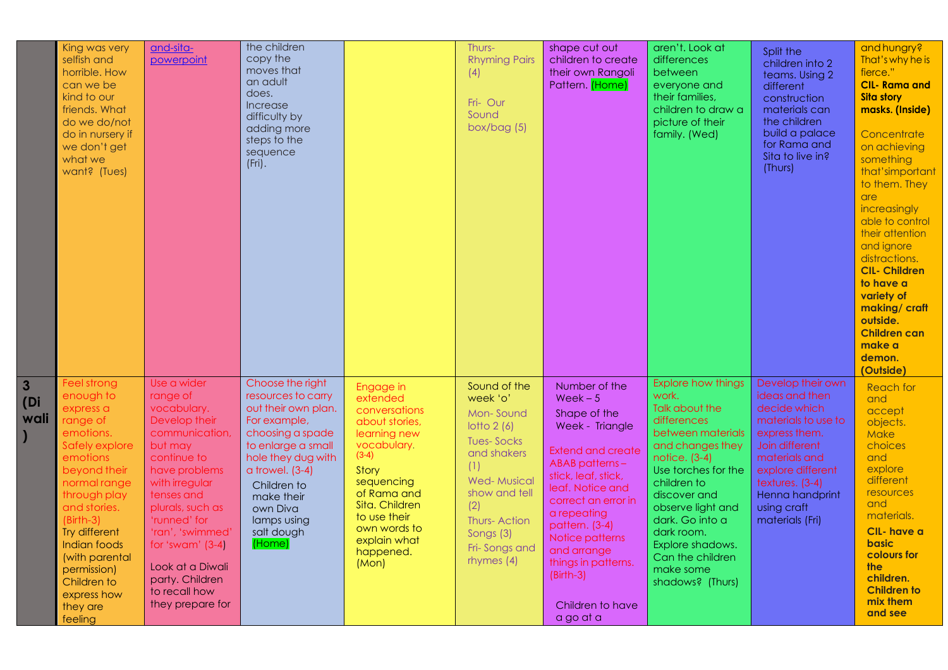|                             | King was very<br>selfish and<br>horrible. How<br>can we be<br>kind to our<br>friends. What<br>do we do/not<br>do in nursery if<br>we don't get<br>what we<br>want? (Tues)                                                                                                                          | and-sita-<br>powerpoint                                                                                                                                                                                                                                                                                        | the children<br>copy the<br>moves that<br>an adult<br>does.<br>Increase<br>difficulty by<br>adding more<br>steps to the<br>sequence<br>$(Fri)$ .                                                                                                     |                                                                                                                                                                                                                                  | Thurs-<br><b>Rhyming Pairs</b><br>(4)<br>Fri-Our<br>Sound<br>box/bag $(5)$                                                                                                                                 | shape cut out<br>children to create<br>their own Rangoli<br>Pattern. (Home)                                                                                                                                                                                                                                     | aren't. Look at<br>differences<br>between<br>everyone and<br>their families,<br>children to draw a<br>picture of their<br>family. (Wed)                                                                                                                                                                            | Split the<br>children into 2<br>teams. Using 2<br>different<br>construction<br>materials can<br>the children<br>build a palace<br>for Rama and<br>Sita to live in?<br>(Thurs)                                               | and hungry?<br>That's why he is<br>fierce."<br><b>CIL-Rama and</b><br><b>Sita story</b><br>masks. (Inside)<br>Concentrate<br>on achieving<br>something<br>that'simportant<br>to them. They<br>are<br>increasingly<br>able to control<br>their attention<br>and ignore<br>distractions.<br><b>CIL- Children</b><br>to have a<br>variety of<br>making/craft<br>outside.<br><b>Children can</b><br>make a<br>demon.<br>(Outside) |
|-----------------------------|----------------------------------------------------------------------------------------------------------------------------------------------------------------------------------------------------------------------------------------------------------------------------------------------------|----------------------------------------------------------------------------------------------------------------------------------------------------------------------------------------------------------------------------------------------------------------------------------------------------------------|------------------------------------------------------------------------------------------------------------------------------------------------------------------------------------------------------------------------------------------------------|----------------------------------------------------------------------------------------------------------------------------------------------------------------------------------------------------------------------------------|------------------------------------------------------------------------------------------------------------------------------------------------------------------------------------------------------------|-----------------------------------------------------------------------------------------------------------------------------------------------------------------------------------------------------------------------------------------------------------------------------------------------------------------|--------------------------------------------------------------------------------------------------------------------------------------------------------------------------------------------------------------------------------------------------------------------------------------------------------------------|-----------------------------------------------------------------------------------------------------------------------------------------------------------------------------------------------------------------------------|-------------------------------------------------------------------------------------------------------------------------------------------------------------------------------------------------------------------------------------------------------------------------------------------------------------------------------------------------------------------------------------------------------------------------------|
| $\mathbf{3}$<br>(D)<br>wali | Feel strong<br>enough to<br>express a<br>range of<br>emotions.<br>Safely explore<br>emotions<br>beyond their<br>normal range<br>through play<br>and stories.<br>$(Birth-3)$<br>Try different<br>Indian foods<br>(with parental<br>permission)<br>Children to<br>express how<br>they are<br>feeling | Use a wider<br>range of<br>vocabulary.<br>Develop their<br>communication,<br>but may<br>continue to<br>have problems<br>with irregular<br>tenses and<br>plurals, such as<br>'runned' for<br>'ran', 'swimmed'<br>for 'swam' $(3-4)$<br>Look at a Diwali<br>party. Children<br>to recall how<br>they prepare for | Choose the right<br>resources to carry<br>out their own plan.<br>For example,<br>choosing a spade<br>to enlarge a small<br>hole they dug with<br>a trowel. (3-4)<br>Children to<br>make their<br>own Diva<br>lamps using<br>salt dough<br>$ $ (Home) | Engage in<br>extended<br>conversations<br>about stories,<br>learning new<br>vocabulary.<br>$(3-4)$<br>Story<br>sequencing<br>of Rama and<br>Sita. Children<br>to use their<br>own words to<br>explain what<br>happened.<br>(Mon) | Sound of the<br>week 'o'<br>Mon-Sound<br>lotto $2(6)$<br><b>Tues-Socks</b><br>and shakers<br>(1)<br><b>Wed-Musical</b><br>show and tell<br>(2)<br>Thurs-Action<br>Songs (3)<br>Fri-Songs and<br>rhymes (4) | Number of the<br>$Week-5$<br>Shape of the<br>Week - Triangle<br>Extend and create<br>ABAB patterns-<br>stick, leaf, stick,<br>leaf. Notice and<br>correct an error in<br>a repeating<br>pattern. (3-4)<br>Notice patterns<br>and arrange<br>things in patterns.<br>$(Birth-3)$<br>Children to have<br>a go at a | <b>Explore how things</b><br>work.<br>Talk about the<br>differences<br>between materials<br>and changes they<br>notice. (3-4)<br>Use torches for the<br>children to<br>discover and<br>observe light and<br>dark. Go into a<br>dark room.<br>Explore shadows.<br>Can the children<br>make some<br>shadows? (Thurs) | Develop their own<br>ideas and then<br>decide which<br>materials to use to<br>express them.<br>Join different<br>materials and<br>explore different<br>textures. (3-4)<br>Henna handprint<br>using craft<br>materials (Fri) | <b>Reach for</b><br>and<br>accept<br>objects.<br>Make<br>choices<br>and<br>explore<br>different<br>resources<br>and<br>materials.<br>CIL-have a<br>basic<br>colours for<br>the<br>children.<br><b>Children to</b><br>mix them<br>and see                                                                                                                                                                                      |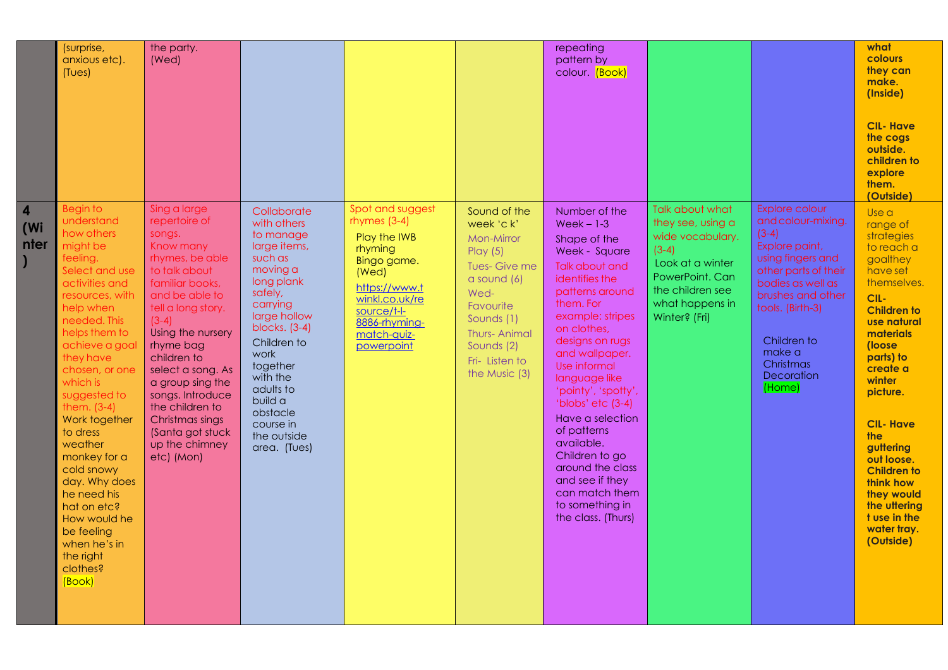|                                        | (surprise,<br>anxious etc).<br>(Tues)                                                                                                                                                                                                                                                                                                                                                                                                                                      | the party.<br>(Wed)                                                                                                                                                                                                                                                                                                                                                    |                                                                                                                                                                                                                                                                                       |                                                                                                                                                                                       |                                                                                                                                                                                                   | repeating<br>pattern by<br>colour. (Book)                                                                                                                                                                                                                                                                                                                                                                                                                    |                                                                                                                                                                    |                                                                                                                                                                                                                                            | what<br><b>colours</b><br>they can<br>make.<br>(Inside)<br><b>CIL- Have</b><br>the cogs<br>outside.<br>children to<br>explore<br>them.<br>(Outside)                                                                                                                                                                                                                       |
|----------------------------------------|----------------------------------------------------------------------------------------------------------------------------------------------------------------------------------------------------------------------------------------------------------------------------------------------------------------------------------------------------------------------------------------------------------------------------------------------------------------------------|------------------------------------------------------------------------------------------------------------------------------------------------------------------------------------------------------------------------------------------------------------------------------------------------------------------------------------------------------------------------|---------------------------------------------------------------------------------------------------------------------------------------------------------------------------------------------------------------------------------------------------------------------------------------|---------------------------------------------------------------------------------------------------------------------------------------------------------------------------------------|---------------------------------------------------------------------------------------------------------------------------------------------------------------------------------------------------|--------------------------------------------------------------------------------------------------------------------------------------------------------------------------------------------------------------------------------------------------------------------------------------------------------------------------------------------------------------------------------------------------------------------------------------------------------------|--------------------------------------------------------------------------------------------------------------------------------------------------------------------|--------------------------------------------------------------------------------------------------------------------------------------------------------------------------------------------------------------------------------------------|---------------------------------------------------------------------------------------------------------------------------------------------------------------------------------------------------------------------------------------------------------------------------------------------------------------------------------------------------------------------------|
| $\overline{\mathbf{4}}$<br>(Wi<br>nter | <b>Begin to</b><br>understand<br>how others<br>might be<br>feeling.<br>Select and use<br>activities and<br>resources, with<br>help when<br>needed. This<br>helps them to<br>achieve a goal<br>they have<br>chosen, or one<br>which is<br>suggested to<br>them. (3-4)<br>Work together<br>to dress<br>weather<br>monkey for a<br>cold snowy<br>day. Why does<br>he need his<br>hat on etc?<br>How would he<br>be feeling<br>when he's in<br>the right<br>clothes?<br>(Book) | Sing a large<br>repertoire of<br>songs.<br>Know many<br>rhymes, be able<br>to talk about<br>familiar books,<br>and be able to<br>tell a long story.<br>$(3-4)$<br>Using the nursery<br>rhyme bag<br>children to<br>select a song. As<br>a group sing the<br>songs. Introduce<br>the children to<br>Christmas sings<br>(Santa got stuck<br>up the chimney<br>etc) (Mon) | Collaborate<br>with others<br>to manage<br>large items,<br>such as<br>moving a<br>long plank<br>safely,<br>carrying<br>large hollow<br>blocks. $(3-4)$<br>Children to<br>work<br>together<br>with the<br>adults to<br>build a<br>obstacle<br>course in<br>the outside<br>area. (Tues) | Spot and suggest<br>rhymes $(3-4)$<br>Play the IWB<br>rhyming<br>Bingo game.<br>(Wed)<br>https://www.t<br>winkl.co.uk/re<br>source/t-l-<br>8886-rhyming-<br>match-quiz-<br>powerpoint | Sound of the<br>week 'c k'<br>Mon-Mirror<br>Play $(5)$<br>Tues-Give me<br>a sound $(6)$<br>Wed-<br>Favourite<br>Sounds (1)<br><b>Thurs-Animal</b><br>Sounds (2)<br>Fri-Listen to<br>the Music (3) | Number of the<br>$Week - 1-3$<br>Shape of the<br>Week - Square<br>Talk about and<br>identifies the<br>patterns around<br>them. For<br>example: stripes<br>on clothes,<br>designs on rugs<br>and wallpaper.<br>Use informal<br>language like<br>'pointy', 'spotty',<br>'blobs' etc (3-4)<br>Have a selection<br>of patterns<br>available.<br>Children to go<br>around the class<br>and see if they<br>can match them<br>to something in<br>the class. (Thurs) | Talk about what<br>they see, using a<br>wide vocabulary.<br>$(3-4)$<br>Look at a winter<br>PowerPoint. Can<br>the children see<br>what happens in<br>Winter? (Fri) | Explore colour<br>and colour-mixing.<br>$(3-4)$<br>Explore paint,<br>using fingers and<br>other parts of their<br>bodies as well as<br>brushes and other<br>tools. (Birth-3)<br>Children to<br>make a<br>Christmas<br>Decoration<br>(Home) | Use a<br>range of<br>strategies<br>to reach a<br>goalthey<br>have set<br>themselves.<br>CIL-<br><b>Children to</b><br>use natural<br>materials<br>(loose<br>parts) to<br>create a<br>winter<br>picture.<br><b>CIL-Have</b><br>the<br>guttering<br>out loose.<br><b>Children to</b><br>think how<br>they would<br>the uttering<br>t use in the<br>water tray.<br>(Outside) |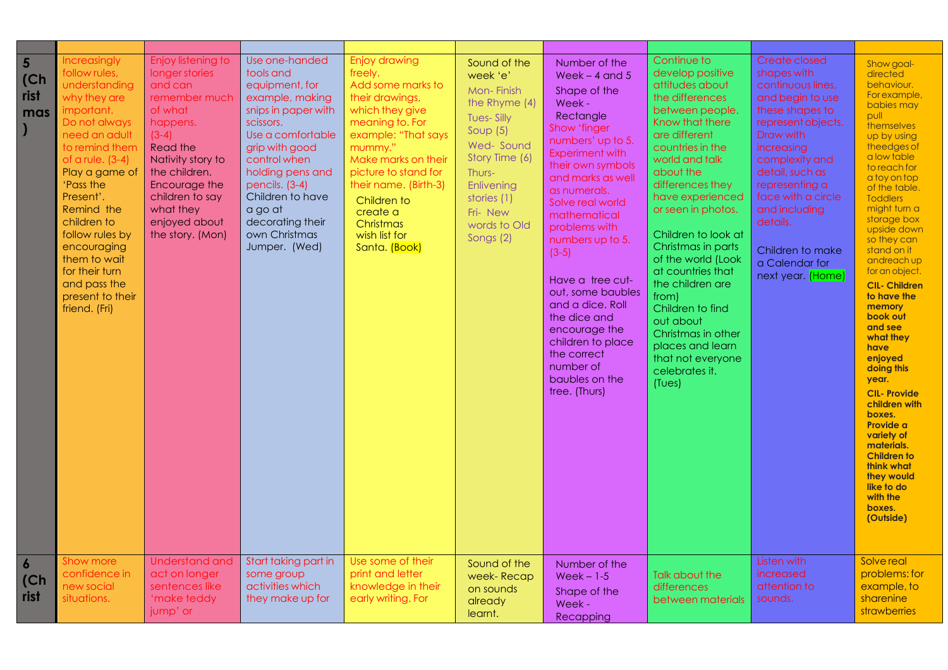| $5\overline{5}$<br>(Ch)<br>rist<br>mas | Increasingly<br>follow rules,<br>understanding<br>why they are<br>important.<br>Do not always<br>need an adult<br>to remind them<br>of a rule. $(3-4)$<br>Play a game of<br>'Pass the<br>Present'.<br>Remind the<br>children to<br>follow rules by<br>encouraging<br>them to wait<br>for their turn<br>and pass the<br>present to their<br>friend. (Fri) | Enjoy listening to<br>longer stories<br>and can<br>remember much<br>of what<br>happens.<br>$(3-4)$<br>Read the<br>Nativity story to<br>the children.<br>Encourage the<br>children to say<br>what they<br>enjoyed about<br>the story. (Mon) | Use one-handed<br>tools and<br>equipment, for<br>example, making<br>snips in paper with<br>scissors.<br>Use a comfortable<br>grip with good<br>control when<br>holding pens and<br>pencils. (3-4)<br>Children to have<br>a go at<br>decorating their<br>own Christmas<br>Jumper. (Wed) | Enjoy drawing<br>freely.<br>Add some marks to<br>their drawings,<br>which they give<br>meaning to. For<br>example: "That says<br>mummy."<br>Make marks on their<br>picture to stand for<br>their name. (Birth-3)<br>Children to<br>create a<br>Christmas<br>wish list for<br>Santa. (Book) | Sound of the<br>week 'e'<br>Mon-Finish<br>the Rhyme (4)<br><b>Tues-Silly</b><br>Soup $(5)$<br>Wed-Sound<br>Story Time (6)<br>Thurs-<br>Enlivening<br>stories (1)<br>Fri-New<br>words to Old<br>Songs (2) | Number of the<br>Week $-$ 4 and 5<br>Shape of the<br>Week -<br>Rectangle<br>Show 'finger<br>numbers' up to 5.<br>Experiment with<br>their own symbols<br>and marks as well<br>as numerals.<br>Solve real world<br>mathematical<br>problems with<br>numbers up to 5.<br>$(3-5)$<br>Have a tree cut-<br>out, some baubles<br>and a dice. Roll<br>the dice and<br>encourage the<br>children to place<br>the correct<br>number of<br>baubles on the<br>tree. (Thurs) | Continue to<br>develop positive<br>attitudes about<br>the differences<br>between people.<br>Know that there<br>are different<br>countries in the<br>world and talk<br>about the<br>differences they<br>have experienced<br>or seen in photos.<br>Children to look at<br>Christmas in parts<br>of the world (Look<br>at countries that<br>the children are<br>from)<br>Children to find<br>out about<br>Christmas in other<br>places and learn<br>that not everyone<br>celebrates it.<br>(Tues) | Create closed<br>shapes with<br>continuous lines,<br>and begin to use<br>these shapes to<br>represent objects.<br>Draw with<br>increasing<br>complexity and<br>detail, such as<br>representing a<br>face with a circle<br>and including<br>details.<br>Children to make<br>a Calendar for<br>next year. (Home) | Show goal-<br>directed<br>behaviour.<br>For example,<br>babies may<br>pull<br>themselves<br>up by using<br>theedges of<br>a low table<br>to reach for<br>a toy on top<br>of the table.<br><b>Toddlers</b><br>might turn a<br>storage box<br>upside down<br>so they can<br>stand on it<br>andreach up<br>for an object.<br><b>CIL- Children</b><br>to have the<br>memory<br>book out<br>and see<br>what they<br>have<br>enjoyed<br>doing this<br>year.<br><b>CIL-Provide</b><br>children with<br>boxes.<br>Provide a<br>variety of<br>materials.<br><b>Children to</b><br>think what<br>they would<br>like to do<br>with the<br>boxes.<br>(Outside) |
|----------------------------------------|----------------------------------------------------------------------------------------------------------------------------------------------------------------------------------------------------------------------------------------------------------------------------------------------------------------------------------------------------------|--------------------------------------------------------------------------------------------------------------------------------------------------------------------------------------------------------------------------------------------|----------------------------------------------------------------------------------------------------------------------------------------------------------------------------------------------------------------------------------------------------------------------------------------|--------------------------------------------------------------------------------------------------------------------------------------------------------------------------------------------------------------------------------------------------------------------------------------------|----------------------------------------------------------------------------------------------------------------------------------------------------------------------------------------------------------|------------------------------------------------------------------------------------------------------------------------------------------------------------------------------------------------------------------------------------------------------------------------------------------------------------------------------------------------------------------------------------------------------------------------------------------------------------------|------------------------------------------------------------------------------------------------------------------------------------------------------------------------------------------------------------------------------------------------------------------------------------------------------------------------------------------------------------------------------------------------------------------------------------------------------------------------------------------------|----------------------------------------------------------------------------------------------------------------------------------------------------------------------------------------------------------------------------------------------------------------------------------------------------------------|----------------------------------------------------------------------------------------------------------------------------------------------------------------------------------------------------------------------------------------------------------------------------------------------------------------------------------------------------------------------------------------------------------------------------------------------------------------------------------------------------------------------------------------------------------------------------------------------------------------------------------------------------|
| $\boldsymbol{6}$<br>(Ch)<br>rist       | Show more<br>confidence in<br>new social<br>situations.                                                                                                                                                                                                                                                                                                  | <b>Understand and</b><br>act on longer<br>sentences like<br>'make teddy<br>jump' or                                                                                                                                                        | Start taking part in<br>some group<br>activities which<br>they make up for                                                                                                                                                                                                             | Use some of their<br>print and letter<br>knowledge in their<br>early writing. For                                                                                                                                                                                                          | Sound of the<br>week- Recap<br>on sounds<br>already<br>learnt.                                                                                                                                           | Number of the<br>$Week - 1-5$<br>Shape of the<br>Week -<br>Recapping                                                                                                                                                                                                                                                                                                                                                                                             | Talk about the<br>differences<br>between materials                                                                                                                                                                                                                                                                                                                                                                                                                                             | Listen with<br>increased<br>attention to<br>sounds.                                                                                                                                                                                                                                                            | Solve real<br>problems: for<br>example, to<br>sharenine<br><i>strawberries</i>                                                                                                                                                                                                                                                                                                                                                                                                                                                                                                                                                                     |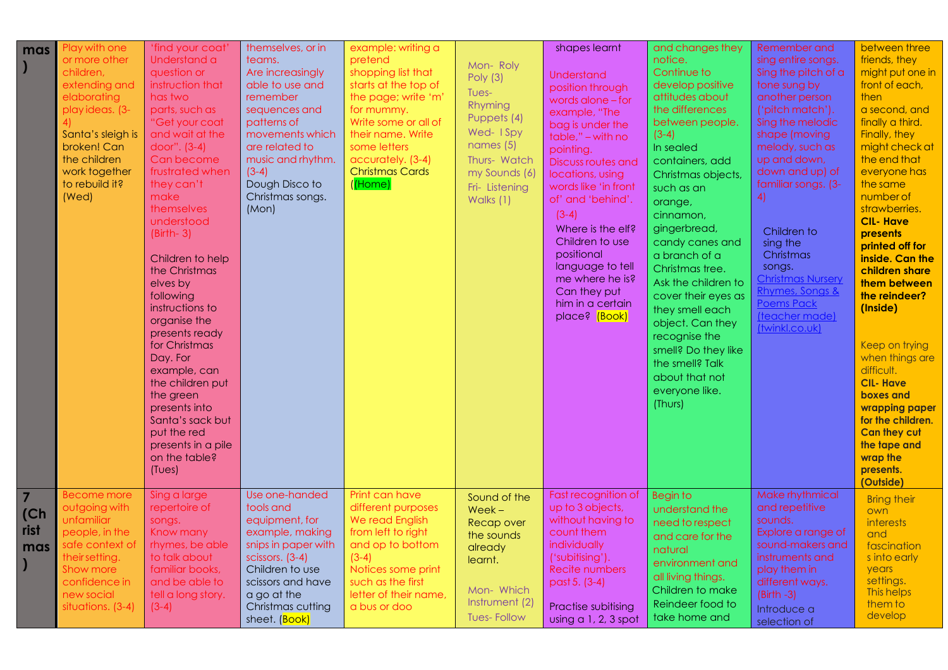| mas                                   | Play with one<br>or more other<br>children,<br>extending and<br>elaborating<br>playideas. (3-<br>4)<br>Santa's sleigh is<br>broken! Can<br>the children<br>work together<br>to rebuild it?<br>(Wed) | 'find your coat'<br>Understand a<br>question or<br>instruction that<br>has two<br>parts, such as<br>"Get your coat<br>and wait at the<br>door". (3-4)<br>Can become<br>frustrated when<br>they can't<br>make<br>themselves<br>understood<br>$(Birth-3)$<br>Children to help<br>the Christmas<br>elves by<br>following<br>instructions to<br>organise the<br>presents ready<br>for Christmas<br>Day. For<br>example, can<br>the children put<br>the green<br>presents into<br>Santa's sack but<br>put the red<br>presents in a pile<br>on the table?<br>(Tues) | themselves, or in<br>teams.<br>Are increasingly<br>able to use and<br>remember<br>sequences and<br>patterns of<br>movements which<br>are related to<br>music and rhythm.<br>$(3-4)$<br>Dough Disco to<br>Christmas songs.<br>(Mon) | example: writing a<br>pretend<br>shopping list that<br>starts at the top of<br>the page; write 'm'<br>for mummy.<br>Write some or all of<br>their name. Write<br>some letters<br>accurately. (3-4)<br><b>Christmas Cards</b><br>$($ (Home) | Mon-Roly<br>Poly $(3)$<br>Tues-<br>Rhyming<br>Puppets (4)<br>Wed- I Spy<br>names $(5)$<br>Thurs- Watch<br>my Sounds (6)<br>Fri-Listening<br>Walks (1) | shapes learnt<br>Understand<br>position through<br>words alone $-$ for<br>example, "The<br>bag is under the<br>table," - with no<br>pointing.<br>Discuss routes and<br>locations, using<br>words like 'in front<br>of' and 'behind'.<br>$(3-4)$<br>Where is the elf?<br>Children to use<br>positional<br>language to tell<br>me where he is?<br>Can they put<br>him in a certain<br>place? (Book) | and changes they<br>notice.<br>Continue to<br>develop positive<br>attitudes about<br>the differences<br>between people.<br>$(3-4)$<br>In sealed<br>containers, add<br>Christmas objects,<br>such as an<br>orange,<br>cinnamon,<br>gingerbread,<br>candy canes and<br>a branch of a<br>Christmas tree.<br>Ask the children to<br>cover their eyes as<br>they smell each<br>object. Can they<br>recognise the<br>smell? Do they like<br>the smell? Talk<br>about that not<br>everyone like.<br>(Thurs) | Remember and<br>sing entire songs.<br>Sing the pitch of a<br>tone sung by<br>another person<br>('pitch match').<br>Sing the melodic<br>shape (moving<br>melody, such as<br>up and down,<br>down and up) of<br>familiar songs. (3-<br>4)<br>Children to<br>sing the<br>Christmas<br>songs.<br><b>Christmas Nursery</b><br>Rhymes, Songs &<br><b>Poems Pack</b><br>(teacher made)<br>(twinkl.co.uk) | between three<br>friends, they<br>might put one in<br>front of each,<br>then<br>a second, and<br>finally a third.<br>Finally, they<br>might check at<br>the end that<br>everyone has<br>the same<br>number of<br>strawberries.<br><b>CIL-Have</b><br>presents<br>printed off for<br>inside. Can the<br>children share<br>them between<br>the reindeer?<br>(Inside)<br>Keep on trying<br>when things are<br>difficult.<br><b>CIL-Have</b><br>boxes and<br>wrapping paper<br>for the children.<br><b>Can they cut</b><br>the tape and<br>wrap the<br>presents.<br>(Outside) |
|---------------------------------------|-----------------------------------------------------------------------------------------------------------------------------------------------------------------------------------------------------|---------------------------------------------------------------------------------------------------------------------------------------------------------------------------------------------------------------------------------------------------------------------------------------------------------------------------------------------------------------------------------------------------------------------------------------------------------------------------------------------------------------------------------------------------------------|------------------------------------------------------------------------------------------------------------------------------------------------------------------------------------------------------------------------------------|--------------------------------------------------------------------------------------------------------------------------------------------------------------------------------------------------------------------------------------------|-------------------------------------------------------------------------------------------------------------------------------------------------------|---------------------------------------------------------------------------------------------------------------------------------------------------------------------------------------------------------------------------------------------------------------------------------------------------------------------------------------------------------------------------------------------------|------------------------------------------------------------------------------------------------------------------------------------------------------------------------------------------------------------------------------------------------------------------------------------------------------------------------------------------------------------------------------------------------------------------------------------------------------------------------------------------------------|---------------------------------------------------------------------------------------------------------------------------------------------------------------------------------------------------------------------------------------------------------------------------------------------------------------------------------------------------------------------------------------------------|---------------------------------------------------------------------------------------------------------------------------------------------------------------------------------------------------------------------------------------------------------------------------------------------------------------------------------------------------------------------------------------------------------------------------------------------------------------------------------------------------------------------------------------------------------------------------|
| $\overline{7}$<br>(Ch)<br>rist<br>mas | <b>Become more</b><br>outgoing with<br>unfamiliar<br>people, in the<br>safe context of<br>their setting.<br>Show more<br>confidence in<br>new social<br>situations. (3-4)                           | Sing a large<br>repertoire of<br>songs.<br>Know many<br>rhymes, be able<br>to talk about<br>familiar books,<br>and be able to<br>tell a long story.<br>$(3-4)$                                                                                                                                                                                                                                                                                                                                                                                                | Use one-handed<br>tools and<br>equipment, for<br>example, making<br>snips in paper with<br>scissors. (3-4)<br>Children to use<br>scissors and have<br>a go at the<br>Christmas cutting<br>sheet. (Book)                            | Print can have<br>different purposes<br>We read English<br>from left to right<br>and op to bottom<br>$(3-4)$<br>Notices some print<br>such as the first<br>letter of their name,<br>a bus or doo                                           | Sound of the<br>$Week -$<br>Recap over<br>the sounds<br>already<br>learnt.<br>Mon-Which<br>Instrument (2)<br><b>Tues-Follow</b>                       | Fast recognition of<br>up to 3 objects,<br>without having to<br>count them<br>individually<br>('subitising').<br>Recite numbers<br>past 5. (3-4)<br>Practise subitising<br>using a 1, 2, 3 spot                                                                                                                                                                                                   | <b>Begin to</b><br>understand the<br>need to respect<br>and care for the<br>natural<br>environment and<br>all living things.<br>Children to make<br>Reindeer food to<br>take home and                                                                                                                                                                                                                                                                                                                | Make rhythmical<br>and repetitive<br>sounds.<br>Explore a range of<br>sound-makers and<br>instruments and<br>play them in<br>different ways.<br>$(Birth -3)$<br>Introduce a<br>selection of                                                                                                                                                                                                       | <b>Bring their</b><br>own<br>interests<br>and<br>fascination<br>s into early<br>years<br>settings.<br>This helps<br>them to<br>develop                                                                                                                                                                                                                                                                                                                                                                                                                                    |